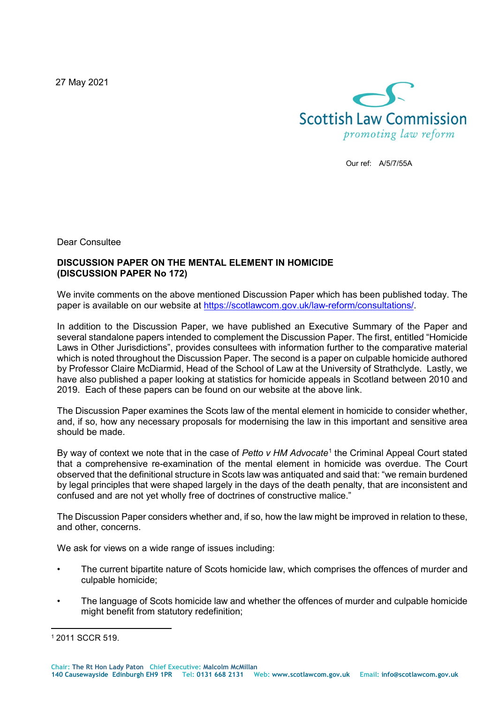27 May 2021



Our ref: A/5/7/55A

Dear Consultee

## **DISCUSSION PAPER ON THE MENTAL ELEMENT IN HOMICIDE (DISCUSSION PAPER No 172)**

We invite comments on the above mentioned Discussion Paper which has been published today. The paper is available on our website at https://scotlawcom.gov.uk/law-reform/consultations/

In addition to the Discussion Paper, we have published an Executive Summary of the Paper and several standalone papers intended to complement the Discussion Paper. The first, entitled "Homicide Laws in Other Jurisdictions", provides consultees with information further to the comparative material which is noted throughout the Discussion Paper. The second is a paper on culpable homicide authored by Professor Claire McDiarmid, Head of the School of Law at the University of Strathclyde. Lastly, we have also published a paper looking at statistics for homicide appeals in Scotland between 2010 and 2019. Each of these papers can be found on our website at the above link.

The Discussion Paper examines the Scots law of the mental element in homicide to consider whether, and, if so, how any necessary proposals for modernising the law in this important and sensitive area should be made.

By way of context we note that in the case of *Petto v HM Advocate*[1](#page-0-0) the Criminal Appeal Court stated that a comprehensive re-examination of the mental element in homicide was overdue. The Court observed that the definitional structure in Scots law was antiquated and said that: "we remain burdened by legal principles that were shaped largely in the days of the death penalty, that are inconsistent and confused and are not yet wholly free of doctrines of constructive malice."

The Discussion Paper considers whether and, if so, how the law might be improved in relation to these, and other, concerns.

We ask for views on a wide range of issues including:

- The current bipartite nature of Scots homicide law, which comprises the offences of murder and culpable homicide;
- The language of Scots homicide law and whether the offences of murder and culpable homicide might benefit from statutory redefinition;

<span id="page-0-0"></span> $\overline{a}$ <sup>1</sup> 2011 SCCR 519.